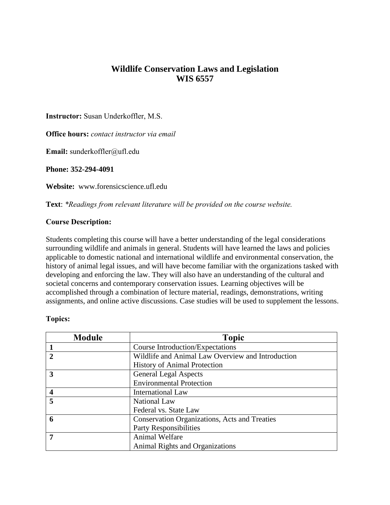# **Wildlife Conservation Laws and Legislation WIS 6557**

**Instructor:** Susan Underkoffler, M.S.

**Office hours:** *contact instructor via email* 

**Email:** sunderkoffler@ufl.edu

**Phone: 352-294-4091**

**Website:** www.forensicscience.ufl.edu

**Text**: *\*Readings from relevant literature will be provided on the course website.* 

### **Course Description:**

Students completing this course will have a better understanding of the legal considerations surrounding wildlife and animals in general. Students will have learned the laws and policies applicable to domestic national and international wildlife and environmental conservation, the history of animal legal issues, and will have become familiar with the organizations tasked with developing and enforcing the law. They will also have an understanding of the cultural and societal concerns and contemporary conservation issues. Learning objectives will be accomplished through a combination of lecture material, readings, demonstrations, writing assignments, and online active discussions. Case studies will be used to supplement the lessons.

#### **Topics:**

| <b>Module</b> | <b>Topic</b>                                         |
|---------------|------------------------------------------------------|
|               | Course Introduction/Expectations                     |
|               | Wildlife and Animal Law Overview and Introduction    |
|               | <b>History of Animal Protection</b>                  |
| 3             | <b>General Legal Aspects</b>                         |
|               | <b>Environmental Protection</b>                      |
|               | International Law                                    |
| 5             | <b>National Law</b>                                  |
|               | Federal vs. State Law                                |
| 6             | <b>Conservation Organizations, Acts and Treaties</b> |
|               | <b>Party Responsibilities</b>                        |
| 7             | <b>Animal Welfare</b>                                |
|               | <b>Animal Rights and Organizations</b>               |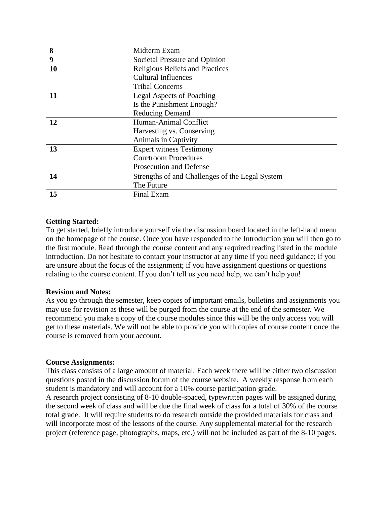| 8  | Midterm Exam                                    |
|----|-------------------------------------------------|
| 9  | Societal Pressure and Opinion                   |
| 10 | <b>Religious Beliefs and Practices</b>          |
|    | <b>Cultural Influences</b>                      |
|    | <b>Tribal Concerns</b>                          |
| 11 | <b>Legal Aspects of Poaching</b>                |
|    | Is the Punishment Enough?                       |
|    | <b>Reducing Demand</b>                          |
| 12 | Human-Animal Conflict                           |
|    | Harvesting vs. Conserving                       |
|    | Animals in Captivity                            |
| 13 | <b>Expert witness Testimony</b>                 |
|    | <b>Courtroom Procedures</b>                     |
|    | Prosecution and Defense                         |
| 14 | Strengths of and Challenges of the Legal System |
|    | The Future                                      |
| 15 | Final Exam                                      |

### **Getting Started:**

To get started, briefly introduce yourself via the discussion board located in the left-hand menu on the homepage of the course. Once you have responded to the Introduction you will then go to the first module. Read through the course content and any required reading listed in the module introduction. Do not hesitate to contact your instructor at any time if you need guidance; if you are unsure about the focus of the assignment; if you have assignment questions or questions relating to the course content. If you don't tell us you need help, we can't help you!

#### **Revision and Notes:**

As you go through the semester, keep copies of important emails, bulletins and assignments you may use for revision as these will be purged from the course at the end of the semester. We recommend you make a copy of the course modules since this will be the only access you will get to these materials. We will not be able to provide you with copies of course content once the course is removed from your account.

#### **Course Assignments:**

This class consists of a large amount of material. Each week there will be either two discussion questions posted in the discussion forum of the course website. A weekly response from each student is mandatory and will account for a 10% course participation grade.

A research project consisting of 8-10 double-spaced, typewritten pages will be assigned during the second week of class and will be due the final week of class for a total of 30% of the course total grade. It will require students to do research outside the provided materials for class and will incorporate most of the lessons of the course. Any supplemental material for the research project (reference page, photographs, maps, etc.) will not be included as part of the 8-10 pages.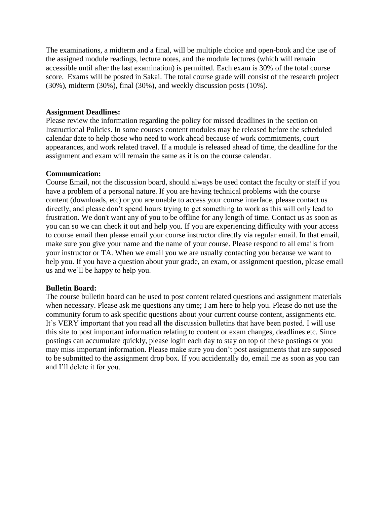The examinations, a midterm and a final, will be multiple choice and open-book and the use of the assigned module readings, lecture notes, and the module lectures (which will remain accessible until after the last examination) is permitted. Each exam is 30% of the total course score. Exams will be posted in Sakai. The total course grade will consist of the research project (30%), midterm (30%), final (30%), and weekly discussion posts (10%).

#### **Assignment Deadlines:**

Please review the information regarding the policy for missed deadlines in the section on Instructional Policies. In some courses content modules may be released before the scheduled calendar date to help those who need to work ahead because of work commitments, court appearances, and work related travel. If a module is released ahead of time, the deadline for the assignment and exam will remain the same as it is on the course calendar.

#### **Communication:**

Course Email, not the discussion board, should always be used contact the faculty or staff if you have a problem of a personal nature. If you are having technical problems with the course content (downloads, etc) or you are unable to access your course interface, please contact us directly, and please don't spend hours trying to get something to work as this will only lead to frustration. We don't want any of you to be offline for any length of time. Contact us as soon as you can so we can check it out and help you. If you are experiencing difficulty with your access to course email then please email your course instructor directly via regular email. In that email, make sure you give your name and the name of your course. Please respond to all emails from your instructor or TA. When we email you we are usually contacting you because we want to help you. If you have a question about your grade, an exam, or assignment question, please email us and we'll be happy to help you.

#### **Bulletin Board:**

The course bulletin board can be used to post content related questions and assignment materials when necessary. Please ask me questions any time; I am here to help you. Please do not use the community forum to ask specific questions about your current course content, assignments etc. It's VERY important that you read all the discussion bulletins that have been posted. I will use this site to post important information relating to content or exam changes, deadlines etc. Since postings can accumulate quickly, please login each day to stay on top of these postings or you may miss important information. Please make sure you don't post assignments that are supposed to be submitted to the assignment drop box. If you accidentally do, email me as soon as you can and I'll delete it for you.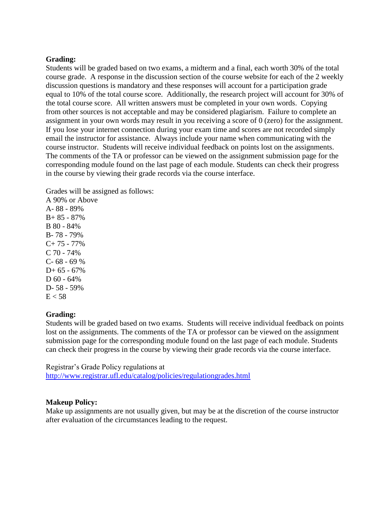#### **Grading:**

Students will be graded based on two exams, a midterm and a final, each worth 30% of the total course grade. A response in the discussion section of the course website for each of the 2 weekly discussion questions is mandatory and these responses will account for a participation grade equal to 10% of the total course score. Additionally, the research project will account for 30% of the total course score. All written answers must be completed in your own words. Copying from other sources is not acceptable and may be considered plagiarism. Failure to complete an assignment in your own words may result in you receiving a score of 0 (zero) for the assignment. If you lose your internet connection during your exam time and scores are not recorded simply email the instructor for assistance. Always include your name when communicating with the course instructor. Students will receive individual feedback on points lost on the assignments. The comments of the TA or professor can be viewed on the assignment submission page for the corresponding module found on the last page of each module. Students can check their progress in the course by viewing their grade records via the course interface.

Grades will be assigned as follows:

A 90% or Above A- 88 - 89% B+ 85 - 87% B 80 - 84% B- 78 - 79%  $C+ 75 - 77\%$ C 70 - 74%  $C - 68 - 69 %$  $D+ 65 - 67%$  $D$  60 - 64% D- 58 - 59%  $E < 58$ 

#### **Grading:**

Students will be graded based on two exams. Students will receive individual feedback on points lost on the assignments. The comments of the TA or professor can be viewed on the assignment submission page for the corresponding module found on the last page of each module. Students can check their progress in the course by viewing their grade records via the course interface.

Registrar's Grade Policy regulations at <http://www.registrar.ufl.edu/catalog/policies/regulationgrades.html>

#### **Makeup Policy:**

Make up assignments are not usually given, but may be at the discretion of the course instructor after evaluation of the circumstances leading to the request.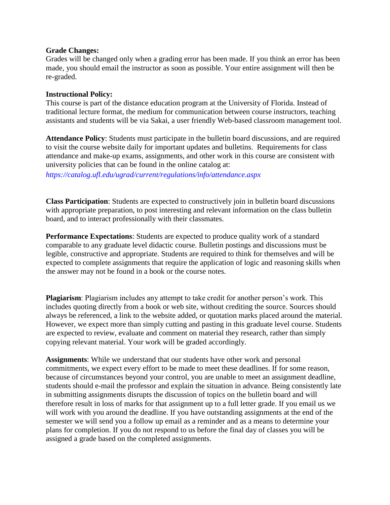#### **Grade Changes:**

Grades will be changed only when a grading error has been made. If you think an error has been made, you should email the instructor as soon as possible. Your entire assignment will then be re-graded.

#### **Instructional Policy:**

This course is part of the distance education program at the University of Florida. Instead of traditional lecture format, the medium for communication between course instructors, teaching assistants and students will be via Sakai, a user friendly Web-based classroom management tool.

**Attendance Policy**: Students must participate in the bulletin board discussions, and are required to visit the course website daily for important updates and bulletins. Requirements for class attendance and make-up exams, assignments, and other work in this course are consistent with university policies that can be found in the online catalog at:

*https://catalog.ufl.edu/ugrad/current/regulations/info/attendance.aspx*

**Class Participation**: Students are expected to constructively join in bulletin board discussions with appropriate preparation, to post interesting and relevant information on the class bulletin board, and to interact professionally with their classmates.

**Performance Expectations**: Students are expected to produce quality work of a standard comparable to any graduate level didactic course. Bulletin postings and discussions must be legible, constructive and appropriate. Students are required to think for themselves and will be expected to complete assignments that require the application of logic and reasoning skills when the answer may not be found in a book or the course notes.

**Plagiarism**: Plagiarism includes any attempt to take credit for another person's work. This includes quoting directly from a book or web site, without crediting the source. Sources should always be referenced, a link to the website added, or quotation marks placed around the material. However, we expect more than simply cutting and pasting in this graduate level course. Students are expected to review, evaluate and comment on material they research, rather than simply copying relevant material. Your work will be graded accordingly.

**Assignments**: While we understand that our students have other work and personal commitments, we expect every effort to be made to meet these deadlines. If for some reason, because of circumstances beyond your control, you are unable to meet an assignment deadline, students should e-mail the professor and explain the situation in advance. Being consistently late in submitting assignments disrupts the discussion of topics on the bulletin board and will therefore result in loss of marks for that assignment up to a full letter grade. If you email us we will work with you around the deadline. If you have outstanding assignments at the end of the semester we will send you a follow up email as a reminder and as a means to determine your plans for completion. If you do not respond to us before the final day of classes you will be assigned a grade based on the completed assignments.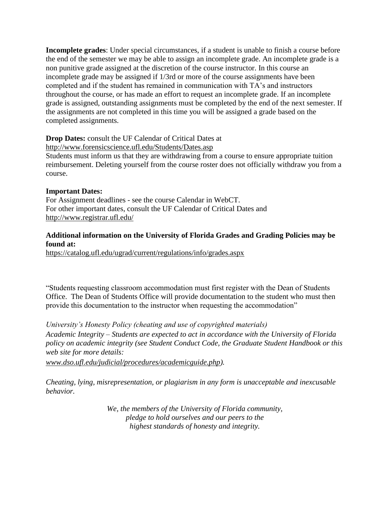**Incomplete grades**: Under special circumstances, if a student is unable to finish a course before the end of the semester we may be able to assign an incomplete grade. An incomplete grade is a non punitive grade assigned at the discretion of the course instructor. In this course an incomplete grade may be assigned if 1/3rd or more of the course assignments have been completed and if the student has remained in communication with TA's and instructors throughout the course, or has made an effort to request an incomplete grade. If an incomplete grade is assigned, outstanding assignments must be completed by the end of the next semester. If the assignments are not completed in this time you will be assigned a grade based on the completed assignments.

# **Drop Dates:** consult the UF Calendar of Critical Dates at

<http://www.forensicscience.ufl.edu/Students/Dates.asp>

Students must inform us that they are withdrawing from a course to ensure appropriate tuition reimbursement. Deleting yourself from the course roster does not officially withdraw you from a course.

### **Important Dates:**

For Assignment deadlines - see the course Calendar in WebCT. For other important dates, consult the UF Calendar of Critical Dates and <http://www.registrar.ufl.edu/>

# **Additional information on the University of Florida Grades and Grading Policies may be found at:**

<https://catalog.ufl.edu/ugrad/current/regulations/info/grades.aspx>

"Students requesting classroom accommodation must first register with the Dean of Students Office. The Dean of Students Office will provide documentation to the student who must then provide this documentation to the instructor when requesting the accommodation"

*University's Honesty Policy (cheating and use of copyrighted materials)*

*Academic Integrity – Students are expected to act in accordance with the University of Florida policy on academic integrity (see Student Conduct Code, the Graduate Student Handbook or this web site for more details:* 

*[www.dso.ufl.edu/judicial/procedures/academicguide.php\)](http://www.dso.ufl.edu/judicial/procedures/academicguide.php).* 

*Cheating, lying, misrepresentation, or plagiarism in any form is unacceptable and inexcusable behavior.*

> *We, the members of the University of Florida community, pledge to hold ourselves and our peers to the highest standards of honesty and integrity.*